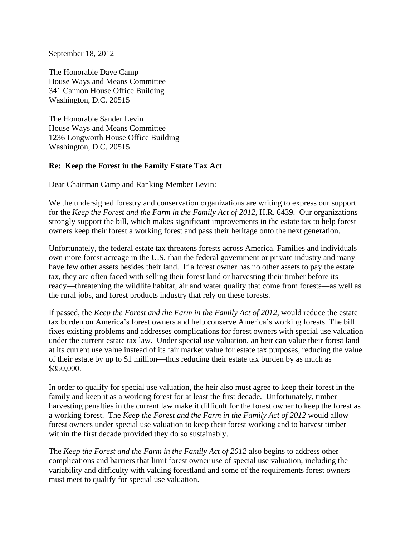September 18, 2012

The Honorable Dave Camp House Ways and Means Committee 341 Cannon House Office Building Washington, D.C. 20515

The Honorable Sander Levin House Ways and Means Committee 1236 Longworth House Office Building Washington, D.C. 20515

## **Re: Keep the Forest in the Family Estate Tax Act**

Dear Chairman Camp and Ranking Member Levin:

We the undersigned forestry and conservation organizations are writing to express our support for the *Keep the Forest and the Farm in the Family Act of 2012*, H.R. 6439. Our organizations strongly support the bill, which makes significant improvements in the estate tax to help forest owners keep their forest a working forest and pass their heritage onto the next generation.

Unfortunately, the federal estate tax threatens forests across America. Families and individuals own more forest acreage in the U.S. than the federal government or private industry and many have few other assets besides their land. If a forest owner has no other assets to pay the estate tax, they are often faced with selling their forest land or harvesting their timber before its ready—threatening the wildlife habitat, air and water quality that come from forests—as well as the rural jobs, and forest products industry that rely on these forests.

If passed, the *Keep the Forest and the Farm in the Family Act of 2012*, would reduce the estate tax burden on America's forest owners and help conserve America's working forests. The bill fixes existing problems and addresses complications for forest owners with special use valuation under the current estate tax law. Under special use valuation, an heir can value their forest land at its current use value instead of its fair market value for estate tax purposes, reducing the value of their estate by up to \$1 million—thus reducing their estate tax burden by as much as \$350,000.

In order to qualify for special use valuation, the heir also must agree to keep their forest in the family and keep it as a working forest for at least the first decade. Unfortunately, timber harvesting penalties in the current law make it difficult for the forest owner to keep the forest as a working forest. The *Keep the Forest and the Farm in the Family Act of 2012* would allow forest owners under special use valuation to keep their forest working and to harvest timber within the first decade provided they do so sustainably.

The *Keep the Forest and the Farm in the Family Act of 2012* also begins to address other complications and barriers that limit forest owner use of special use valuation, including the variability and difficulty with valuing forestland and some of the requirements forest owners must meet to qualify for special use valuation.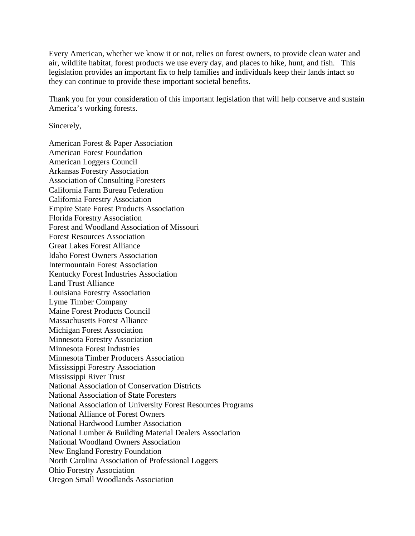Every American, whether we know it or not, relies on forest owners, to provide clean water and air, wildlife habitat, forest products we use every day, and places to hike, hunt, and fish. This legislation provides an important fix to help families and individuals keep their lands intact so they can continue to provide these important societal benefits.

Thank you for your consideration of this important legislation that will help conserve and sustain America's working forests.

Sincerely,

American Forest & Paper Association American Forest Foundation American Loggers Council Arkansas Forestry Association Association of Consulting Foresters California Farm Bureau Federation California Forestry Association Empire State Forest Products Association Florida Forestry Association Forest and Woodland Association of Missouri Forest Resources Association Great Lakes Forest Alliance Idaho Forest Owners Association Intermountain Forest Association Kentucky Forest Industries Association Land Trust Alliance Louisiana Forestry Association Lyme Timber Company Maine Forest Products Council Massachusetts Forest Alliance Michigan Forest Association Minnesota Forestry Association Minnesota Forest Industries Minnesota Timber Producers Association Mississippi Forestry Association Mississippi River Trust National Association of Conservation Districts National Association of State Foresters National Association of University Forest Resources Programs National Alliance of Forest Owners National Hardwood Lumber Association National Lumber & Building Material Dealers Association National Woodland Owners Association New England Forestry Foundation North Carolina Association of Professional Loggers Ohio Forestry Association Oregon Small Woodlands Association